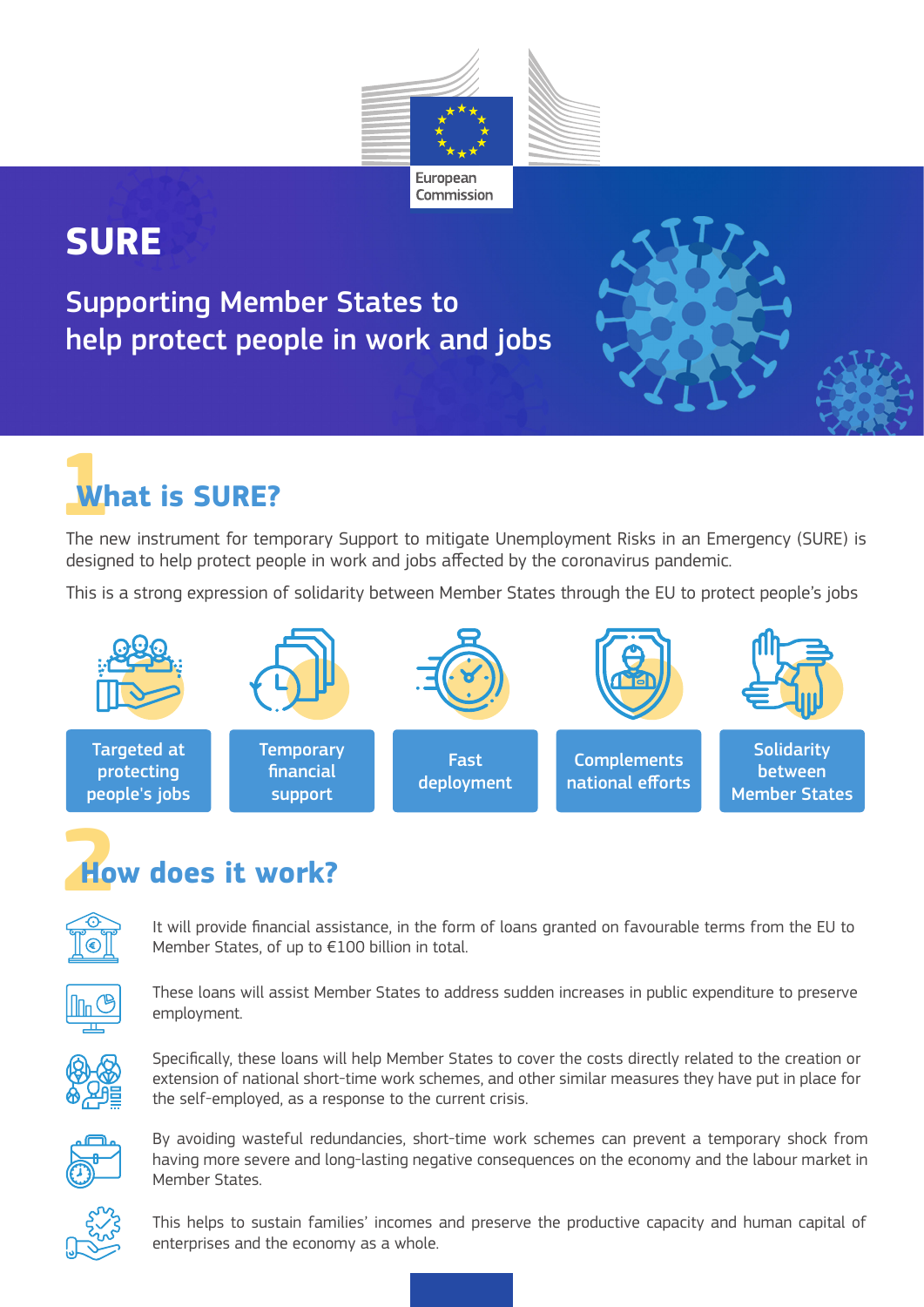

## **SURE**

Supporting Member States to help protect people in work and jobs



# **1What is SURE?**

The new instrument for temporary Support to mitigate Unemployment Risks in an Emergency (SURE) is designed to help protect people in work and jobs affected by the coronavirus pandemic.

This is a strong expression of solidarity between Member States through the EU to protect people's jobs



## **2How does it work?**



It will provide financial assistance, in the form of loans granted on favourable terms from the EU to Member States, of up to €100 billion in total.



These loans will assist Member States to address sudden increases in public expenditure to preserve employment.



Specifically, these loans will help Member States to cover the costs directly related to the creation or extension of national short-time work schemes, and other similar measures they have put in place for the self-employed, as a response to the current crisis.



By avoiding wasteful redundancies, short-time work schemes can prevent a temporary shock from having more severe and long-lasting negative consequences on the economy and the labour market in Member States.



This helps to sustain families' incomes and preserve the productive capacity and human capital of enterprises and the economy as a whole.